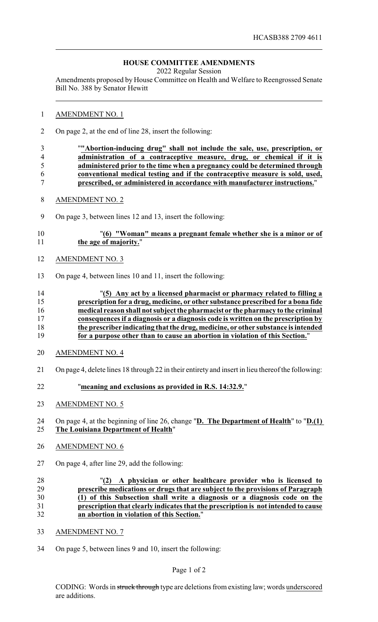# **HOUSE COMMITTEE AMENDMENTS**

2022 Regular Session

Amendments proposed by House Committee on Health and Welfare to Reengrossed Senate Bill No. 388 by Senator Hewitt

#### AMENDMENT NO. 1

- On page 2, at the end of line 28, insert the following:
- "**"Abortion-inducing drug" shall not include the sale, use, prescription, or administration of a contraceptive measure, drug, or chemical if it is administered prior to the time when a pregnancy could be determined through conventional medical testing and if the contraceptive measure is sold, used, prescribed, or administered in accordance with manufacturer instructions.**"
- AMENDMENT NO. 2
- On page 3, between lines 12 and 13, insert the following:

## "**(6) "Woman" means a pregnant female whether she is a minor or of the age of majority.**"

- AMENDMENT NO. 3
- On page 4, between lines 10 and 11, insert the following:

## "**(5) Any act by a licensed pharmacist or pharmacy related to filling a prescription for a drug, medicine, or other substance prescribed for a bona fide medical reason shall not subject the pharmacist or the pharmacy to the criminal consequences if a diagnosis or a diagnosis code is written on the prescription by the prescriber indicating that the drug, medicine, or other substance is intended for a purpose other than to cause an abortion in violation of this Section.**"

- AMENDMENT NO. 4
- On page 4, delete lines 18 through 22 in their entirety and insert in lieu thereof the following:
- "**meaning and exclusions as provided in R.S. 14:32.9.**"
- AMENDMENT NO. 5

## On page 4, at the beginning of line 26, change "**D. The Department of Health**" to "**D.(1) The Louisiana Department of Health**"

- AMENDMENT NO. 6
- On page 4, after line 29, add the following:

#### "**(2) A physician or other healthcare provider who is licensed to prescribe medications or drugs that are subject to the provisions of Paragraph (1) of this Subsection shall write a diagnosis or a diagnosis code on the prescription that clearly indicates that the prescription is not intended to cause an abortion in violation of this Section.**"

- AMENDMENT NO. 7
- On page 5, between lines 9 and 10, insert the following:

#### Page 1 of 2

CODING: Words in struck through type are deletions from existing law; words underscored are additions.